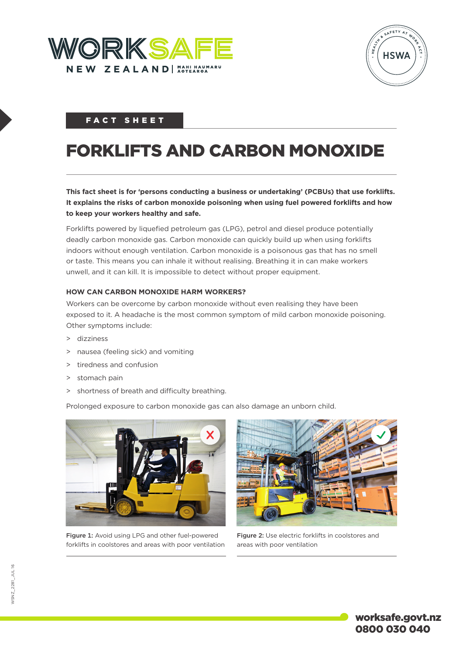



# FACT SHEET

# FORKLIFTS AND CARBON MONOXIDE

**This fact sheet is for 'persons conducting a business or undertaking' (PCBUs) that use forklifts. It explains the risks of carbon monoxide poisoning when using fuel powered forklifts and how to keep your workers healthy and safe.**

Forklifts powered by liquefied petroleum gas (LPG), petrol and diesel produce potentially deadly carbon monoxide gas. Carbon monoxide can quickly build up when using forklifts indoors without enough ventilation. Carbon monoxide is a poisonous gas that has no smell or taste. This means you can inhale it without realising. Breathing it in can make workers unwell, and it can kill. It is impossible to detect without proper equipment.

## **HOW CAN CARBON MONOXIDE HARM WORKERS?**

Workers can be overcome by carbon monoxide without even realising they have been exposed to it. A headache is the most common symptom of mild carbon monoxide poisoning. Other symptoms include:

- > dizziness
- > nausea (feeling sick) and vomiting
- > tiredness and confusion
- > stomach pain
- > shortness of breath and difficulty breathing.

Prolonged exposure to carbon monoxide gas can also damage an unborn child.



Figure 1: Avoid using LPG and other fuel-powered forklifts in coolstores and areas with poor ventilation



Figure 2: Use electric forklifts in coolstores and areas with poor ventilation

worksafe.govt.nz 0800 030 040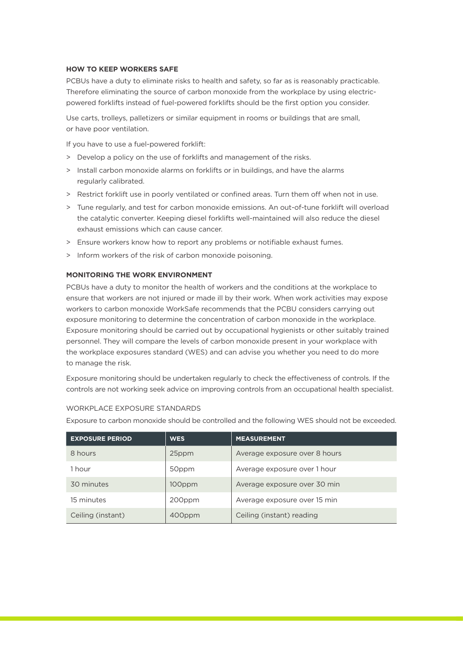#### **HOW TO KEEP WORKERS SAFE**

PCBUs have a duty to eliminate risks to health and safety, so far as is reasonably practicable. Therefore eliminating the source of carbon monoxide from the workplace by using electricpowered forklifts instead of fuel-powered forklifts should be the first option you consider.

Use carts, trolleys, palletizers or similar equipment in rooms or buildings that are small, or have poor ventilation.

If you have to use a fuel-powered forklift:

- > Develop a policy on the use of forklifts and management of the risks.
- > Install carbon monoxide alarms on forklifts or in buildings, and have the alarms regularly calibrated.
- > Restrict forklift use in poorly ventilated or confined areas. Turn them off when not in use.
- > Tune regularly, and test for carbon monoxide emissions. An out-of-tune forklift will overload the catalytic converter. Keeping diesel forklifts well-maintained will also reduce the diesel exhaust emissions which can cause cancer.
- > Ensure workers know how to report any problems or notifiable exhaust fumes.
- > Inform workers of the risk of carbon monoxide poisoning.

#### **MONITORING THE WORK ENVIRONMENT**

PCBUs have a duty to monitor the health of workers and the conditions at the workplace to ensure that workers are not injured or made ill by their work. When work activities may expose workers to carbon monoxide WorkSafe recommends that the PCBU considers carrying out exposure monitoring to determine the concentration of carbon monoxide in the workplace. Exposure monitoring should be carried out by occupational hygienists or other suitably trained personnel. They will compare the levels of carbon monoxide present in your workplace with the workplace exposures standard (WES) and can advise you whether you need to do more to manage the risk.

Exposure monitoring should be undertaken regularly to check the effectiveness of controls. If the controls are not working seek advice on improving controls from an occupational health specialist.

#### WORKPLACE EXPOSURE STANDARDS

Exposure to carbon monoxide should be controlled and the following WES should not be exceeded.

| <b>EXPOSURE PERIOD</b> | <b>WES</b> | <b>MEASUREMENT</b>            |
|------------------------|------------|-------------------------------|
| 8 hours                | 25ppm      | Average exposure over 8 hours |
| 1 hour                 | 50ppm      | Average exposure over 1 hour  |
| 30 minutes             | 100ppm     | Average exposure over 30 min  |
| 15 minutes             | 200ppm     | Average exposure over 15 min  |
| Ceiling (instant)      | 400ppm     | Ceiling (instant) reading     |